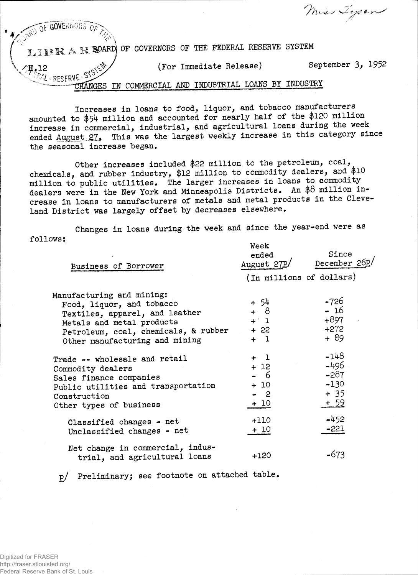**EXAMPLE GOVERNMENTS** OF **4V\*Jx\*-<sup>v</sup> %** J A. **H1PAR « OF GOVERNORS OF THE FEDERAL RESERVE SYSTEM**  $2, 12$ **PML** - RESERVE - SYS **(For Immediate Release) September 3> 1952 MGE S IN COMMERCIAL AND INDUSTRIAL LOANS BY INDUSTRY**

**//It. .**  *r. j s"- <-,*

**Increases in loans to food, liquor, and tobacco manufacturers amounted to \$\$4 million and accounted for nearly half of the \$120 million increase in commercial, industrial, and agricultural loans during the week ended August ..SI\* This was the largest weekly increase in this category since the seasonal increase began.**

**Other increases included \$22 million to the petroleum, coal, chemicals, and rubber industry, \$12 million to commodity dealers, and \$10 million to public utilities. The larger increases in loans to commoditydealers were in the New York and Minneapolis Districts. An \$8 million increase in loans to manufacturers of metals and metal products in the Cleveland District was largely offset by decreases elsewhere.**

**Changes in loans during the week and since the year-end were as follows: Week** 

| Business of Borrower                                                                                                                                                                            | $N$ c c to<br>ended<br>August 27P/<br>(In millions of dollars) | Since<br>December 260/                                       |
|-------------------------------------------------------------------------------------------------------------------------------------------------------------------------------------------------|----------------------------------------------------------------|--------------------------------------------------------------|
| Manufacturing and mining:<br>Food, liquor, and tobacco<br>Textiles, apparel, and leather<br>Metals and metal products<br>Petroleum, coal, chemicals, & rubber<br>Other manufacturing and mining | + 54<br>+ 8<br>$+1$<br>+ 22<br>$+1$                            | $-726$<br>$-16$<br>+897<br>$+272$<br>+ 89                    |
| Trade -- wholesale and retail<br>Commodity dealers<br>Sales finance companies<br>Public utilities and transportation<br>Construction<br>Other types of business                                 | $+1$<br>$+12$<br>- 6<br>$+10$<br>$-2$<br>$+10$                 | $-148$<br>$-496$<br>$-287$<br>$-130$<br>$+35$<br><u>+ 59</u> |
| Classified changes - net<br>Unclassified changes - net                                                                                                                                          | $+110$<br>+ 10                                                 | $-452$<br>-221                                               |
| Net change in commercial, indus-<br>trial, and agricultural loans                                                                                                                               | $+120$                                                         | -673                                                         |
|                                                                                                                                                                                                 |                                                                |                                                              |

**p/ Preliminary; see footnote on attached table**